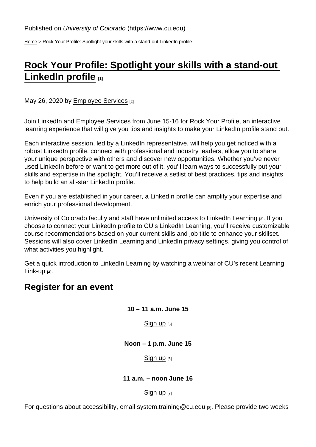[Home](https://www.cu.edu/) > Rock Your Profile: Spotlight your skills with a stand-out LinkedIn profile

## [Rock Your Profile: Spotlight your skills with a stand-out](https://www.cu.edu/blog/work-life/rock-your-profile-spotlight-your-skills-stand-out-linkedin-profile)  [LinkedIn profile](https://www.cu.edu/blog/work-life/rock-your-profile-spotlight-your-skills-stand-out-linkedin-profile) [1]

May 26, 2020 by [Employee Services](https://www.cu.edu/blog/work-life/author/9230) [2]

Join LinkedIn and Employee Services from June 15-16 for Rock Your Profile, an interactive learning experience that will give you tips and insights to make your LinkedIn profile stand out.

Each interactive session, led by a LinkedIn representative, will help you get noticed with a robust LinkedIn profile, connect with professional and industry leaders, allow you to share your unique perspective with others and discover new opportunities. Whether you've never used LinkedIn before or want to get more out of it, you'll learn ways to successfully put your skills and expertise in the spotlight. You'll receive a setlist of best practices, tips and insights to help build an all-star LinkedIn profile.

Even if you are established in your career, a LinkedIn profile can amplify your expertise and enrich your professional development.

University of Colorado faculty and staff have unlimited access to [LinkedIn Learning](https://www.cu.edu/employee-services/professional-growth-training/training-services/linkedin-learning) [3]. If you choose to connect your LinkedIn profile to CU's LinkedIn Learning, you'll receive customizable course recommendations based on your current skills and job title to enhance your skillset. Sessions will also cover LinkedIn Learning and LinkedIn privacy settings, giving you control of what activities you highlight.

Get a quick introduction to LinkedIn Learning by watching a webinar of CU's recent Learning [Link-up](https://vimeo.com/408882398) [4].

## Register for an event

10 – 11 a.m. June 15

[Sign up](https://cusystem.zoom.us/j/92286952137)  $[5]$ 

Noon – 1 p.m. June 15

## [Sign up](https://cusystem.zoom.us/j/97893687827) [6]

11 a.m. – noon June 16

[Sign up](https://cusystem.zoom.us/j/94987769284) [7]

For questions about accessibility, email [system.training@cu.edu](mailto:system.training@cu.edu) [8]. Please provide two weeks